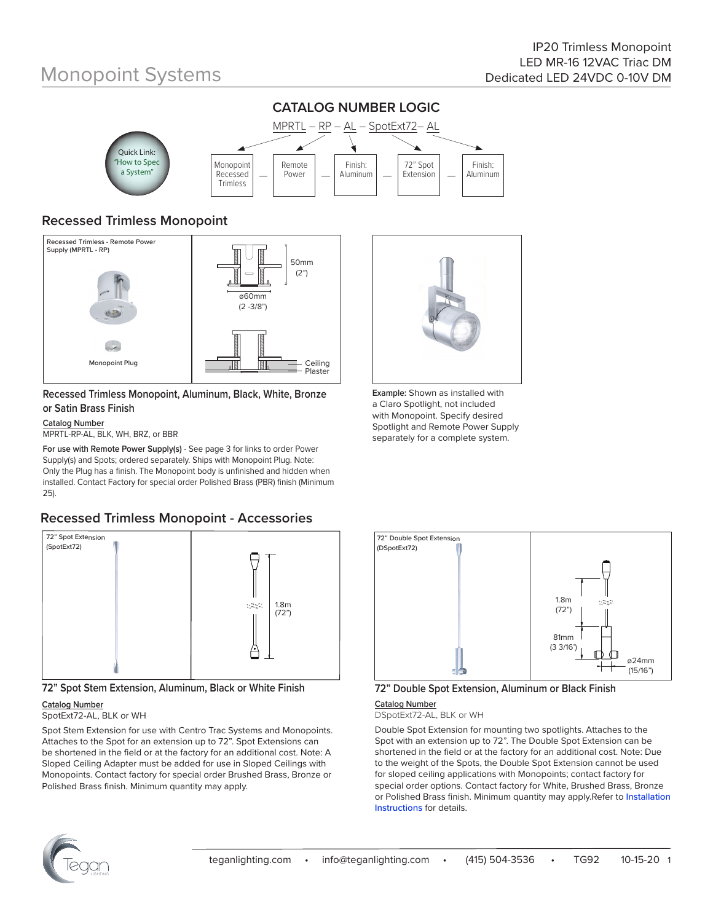# Monopoint Systems



## **Recessed Trimless Monopoint**



#### **Recessed Trimless Monopoint, Aluminum, Black, White, Bronze or Satin Brass Finish**

#### **Catalog Number**

MPRTL-RP-AL, BLK, WH, BRZ, or BBR

**For use with Remote Power Supply(s)** - See page 3 for links to order Power Supply(s) and Spots; ordered separately. Ships with Monopoint Plug. Note: Only the Plug has a finish. The Monopoint body is unfinished and hidden when installed. Contact Factory for special order Polished Brass (PBR) finish (Minimum 25).

## **Recessed Trimless Monopoint - Accessories**



**72" Spot Stem Extension, Aluminum, Black or White Finish**

#### **Catalog Number**

SpotExt72-AL, BLK or WH

Spot Stem Extension for use with Centro Trac Systems and Monopoints. Attaches to the Spot for an extension up to 72". Spot Extensions can be shortened in the field or at the factory for an additional cost. Note: A Sloped Ceiling Adapter must be added for use in Sloped Ceilings with Monopoints. Contact factory for special order Brushed Brass, Bronze or Polished Brass finish. Minimum quantity may apply.



**Example:** Shown as installed with a Claro Spotlight, not included with Monopoint. Specify desired Spotlight and Remote Power Supply separately for a complete system.



### **72" Double Spot Extension, Aluminum or Black Finish**

**Catalog Number** DSpotExt72-AL, BLK or WH

Double Spot Extension for mounting two spotlights. Attaches to the Spot with an extension up to 72". The Double Spot Extension can be shortened in the field or at the factory for an additional cost. Note: Due to the weight of the Spots, the Double Spot Extension cannot be used for sloped ceiling applications with Monopoints; contact factory for special order options. Contact factory for White, Brushed Brass, Bronze or Polished Brass finish. Minimum quantity may apply.Refer to Installation Instructions for details.

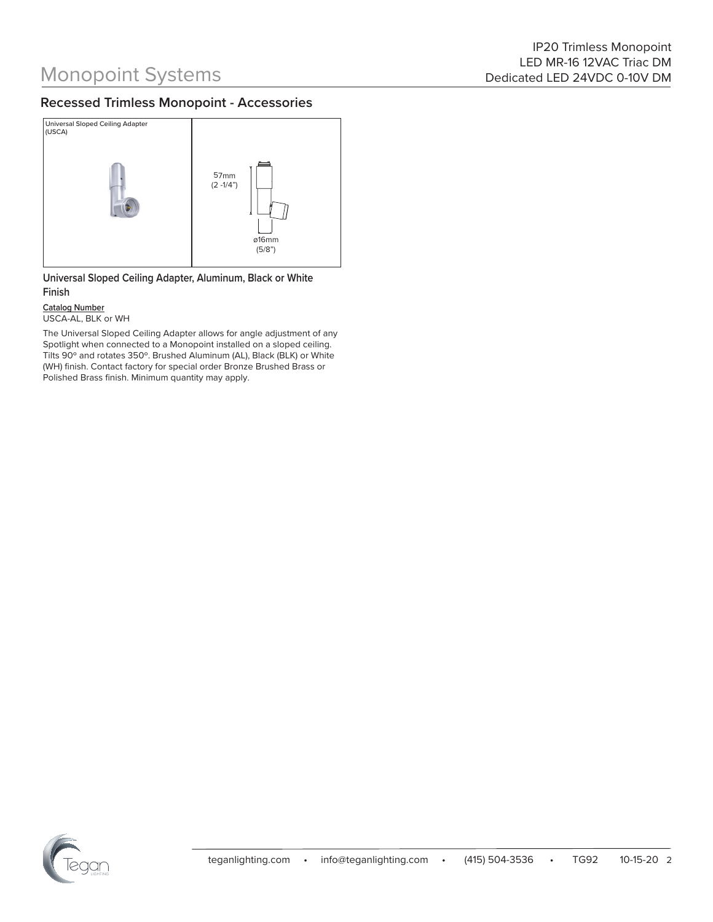### **Recessed Trimless Monopoint - Accessories**



**Universal Sloped Ceiling Adapter, Aluminum, Black or White Finish**

**Catalog Number** USCA-AL, BLK or WH

The Universal Sloped Ceiling Adapter allows for angle adjustment of any Spotlight when connected to a Monopoint installed on a sloped ceiling. Tilts 90º and rotates 350º. Brushed Aluminum (AL), Black (BLK) or White (WH) finish. Contact factory for special order Bronze Brushed Brass or Polished Brass finish. Minimum quantity may apply.

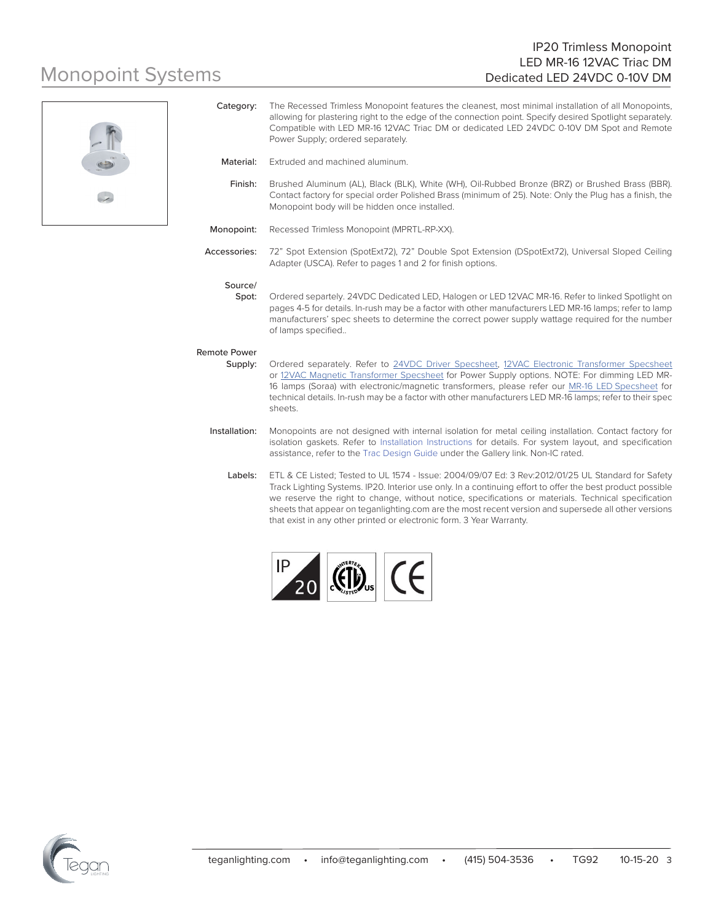#### IP20 Trimless Monopoint LED MR-16 12VAC Triac DM Dedicated LED 24VDC 0-10V DM

# Monopoint Systems



|                                | allowing for plastering right to the edge of the connection point. Specify desired Spotlight separately.<br>Compatible with LED MR-16 12VAC Triac DM or dedicated LED 24VDC 0-10V DM Spot and Remote<br>Power Supply; ordered separately.                                                                                                                                                                                                                                                                |
|--------------------------------|----------------------------------------------------------------------------------------------------------------------------------------------------------------------------------------------------------------------------------------------------------------------------------------------------------------------------------------------------------------------------------------------------------------------------------------------------------------------------------------------------------|
| Material:                      | Extruded and machined aluminum.                                                                                                                                                                                                                                                                                                                                                                                                                                                                          |
| Finish:                        | Brushed Aluminum (AL), Black (BLK), White (WH), Oil-Rubbed Bronze (BRZ) or Brushed Brass (BBR).<br>Contact factory for special order Polished Brass (minimum of 25). Note: Only the Plug has a finish, the<br>Monopoint body will be hidden once installed.                                                                                                                                                                                                                                              |
| Monopoint:                     | Recessed Trimless Monopoint (MPRTL-RP-XX).                                                                                                                                                                                                                                                                                                                                                                                                                                                               |
| Accessories:                   | 72" Spot Extension (SpotExt72), 72" Double Spot Extension (DSpotExt72), Universal Sloped Ceiling<br>Adapter (USCA). Refer to pages 1 and 2 for finish options.                                                                                                                                                                                                                                                                                                                                           |
| Source/<br>Spot:               | Ordered separtely. 24VDC Dedicated LED, Halogen or LED 12VAC MR-16. Refer to linked Spotlight on<br>pages 4-5 for details. In-rush may be a factor with other manufacturers LED MR-16 lamps; refer to lamp<br>manufacturers' spec sheets to determine the correct power supply wattage required for the number<br>of lamps specified                                                                                                                                                                     |
| <b>Remote Power</b><br>Supply: | Ordered separately. Refer to 24VDC Driver Specsheet, 12VAC Electronic Transformer Specsheet<br>or 12VAC Magnetic Transformer Specsheet for Power Supply options. NOTE: For dimming LED MR-<br>16 lamps (Soraa) with electronic/magnetic transformers, please refer our MR-16 LED Specsheet for<br>technical details. In-rush may be a factor with other manufacturers LED MR-16 lamps; refer to their spec<br>sheets.                                                                                    |
| Installation:                  | Monopoints are not designed with internal isolation for metal ceiling installation. Contact factory for<br>isolation gaskets. Refer to Installation Instructions for details. For system layout, and specification<br>assistance, refer to the Trac Design Guide under the Gallery link. Non-IC rated.                                                                                                                                                                                                   |
| Labels:                        | ETL & CE Listed; Tested to UL 1574 - Issue: 2004/09/07 Ed: 3 Rev:2012/01/25 UL Standard for Safety<br>Track Lighting Systems. IP20. Interior use only. In a continuing effort to offer the best product possible<br>we reserve the right to change, without notice, specifications or materials. Technical specification<br>sheets that appear on teganlighting.com are the most recent version and supersede all other versions<br>that exist in any other printed or electronic form. 3 Year Warranty. |

Category: The Recessed Trimless Monopoint features the cleanest, most minimal installation of all Monopoints,



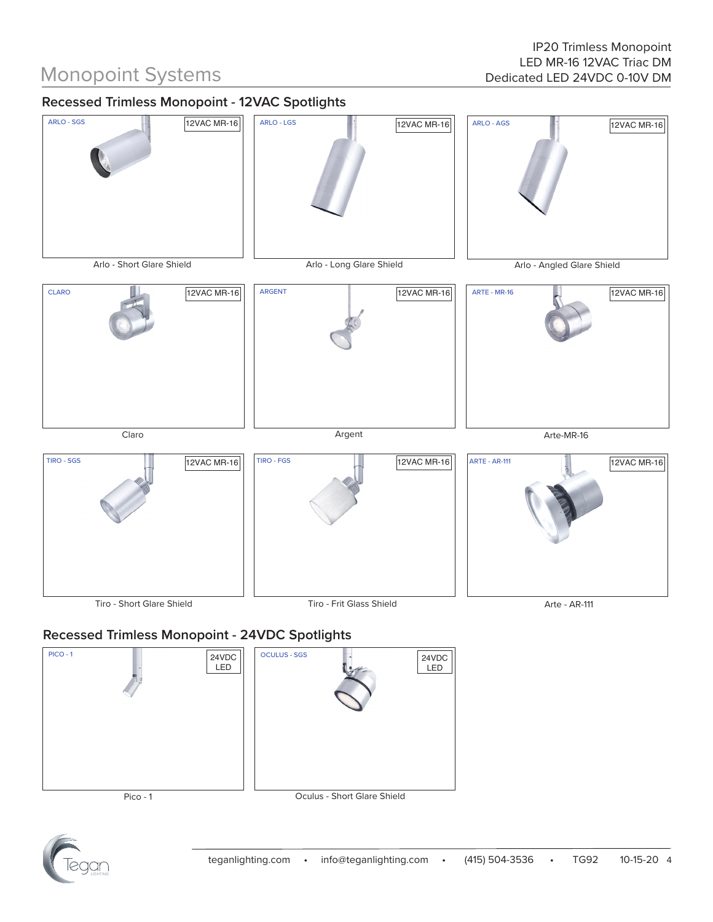# Monopoint Systems

# **Recessed Trimless Monopoint - 12VAC Spotlights**



## **Recessed Trimless Monopoint - 24VDC Spotlights**